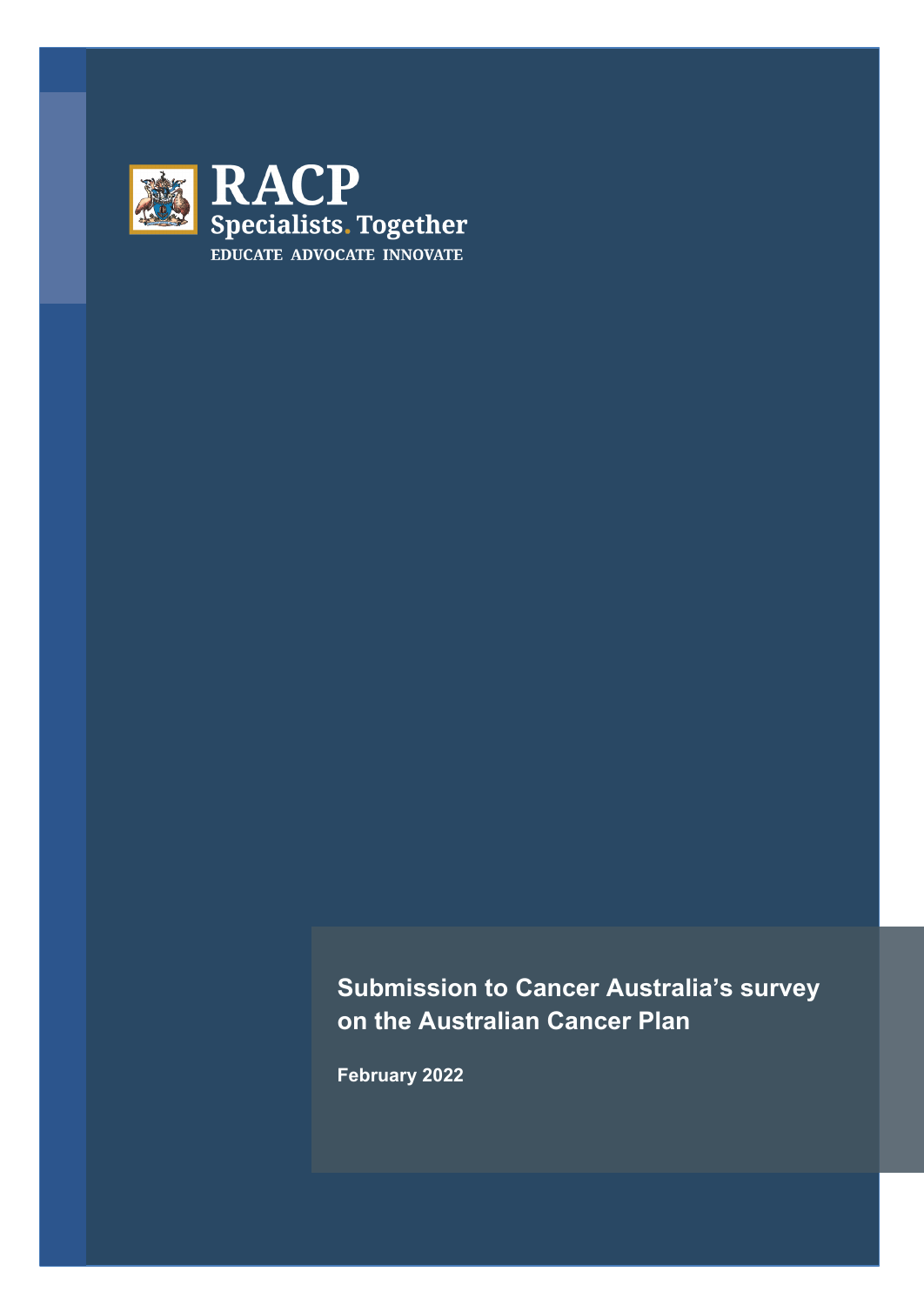

**Submission to Cancer Australia's survey on the Australian Cancer Plan** 

**February 2022**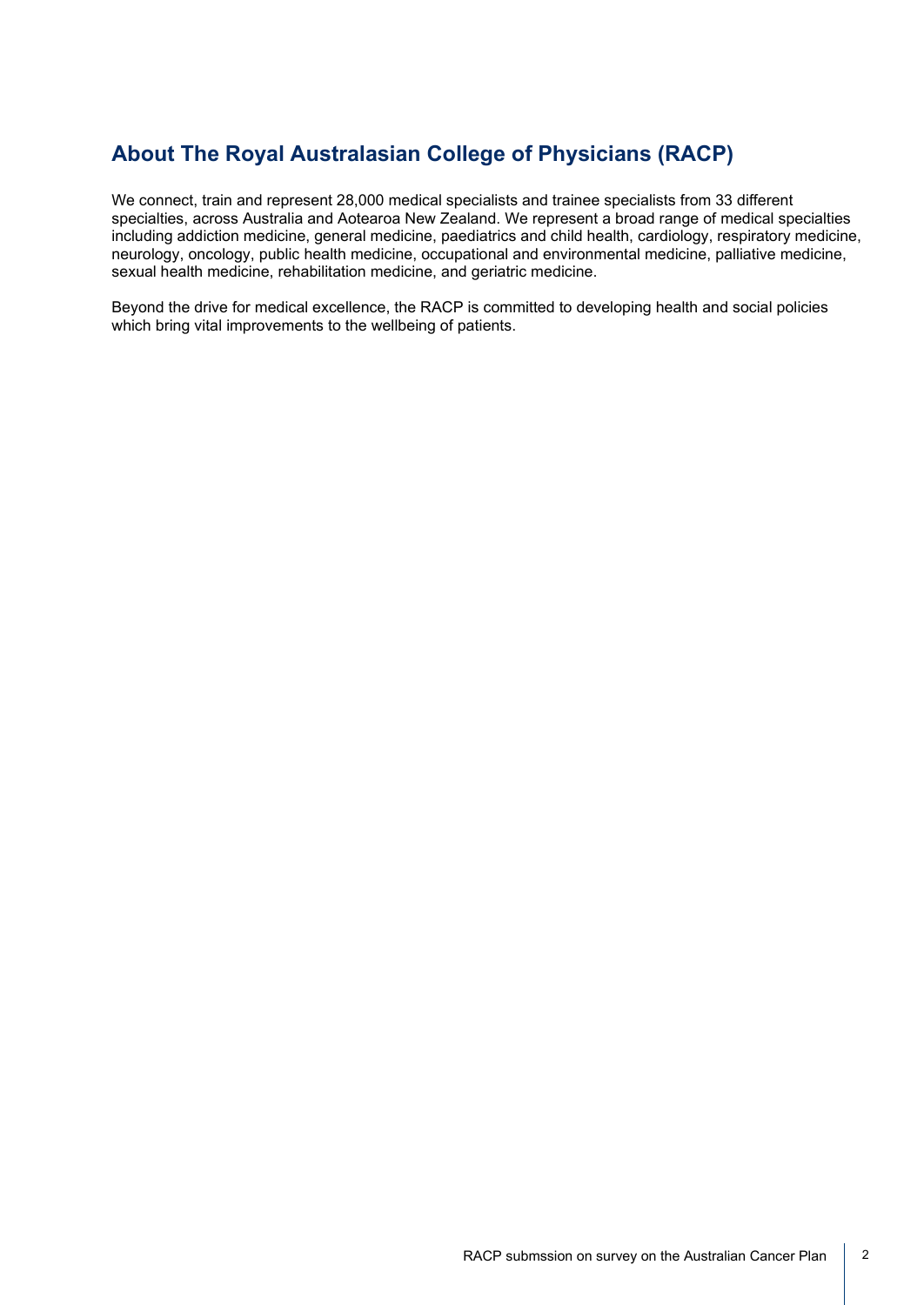# **About The Royal Australasian College of Physicians (RACP)**

We connect, train and represent 28,000 medical specialists and trainee specialists from 33 different specialties, across Australia and Aotearoa New Zealand. We represent a broad range of medical specialties including addiction medicine, general medicine, paediatrics and child health, cardiology, respiratory medicine, neurology, oncology, public health medicine, occupational and environmental medicine, palliative medicine, sexual health medicine, rehabilitation medicine, and geriatric medicine.

Beyond the drive for medical excellence, the RACP is committed to developing health and social policies which bring vital improvements to the wellbeing of patients.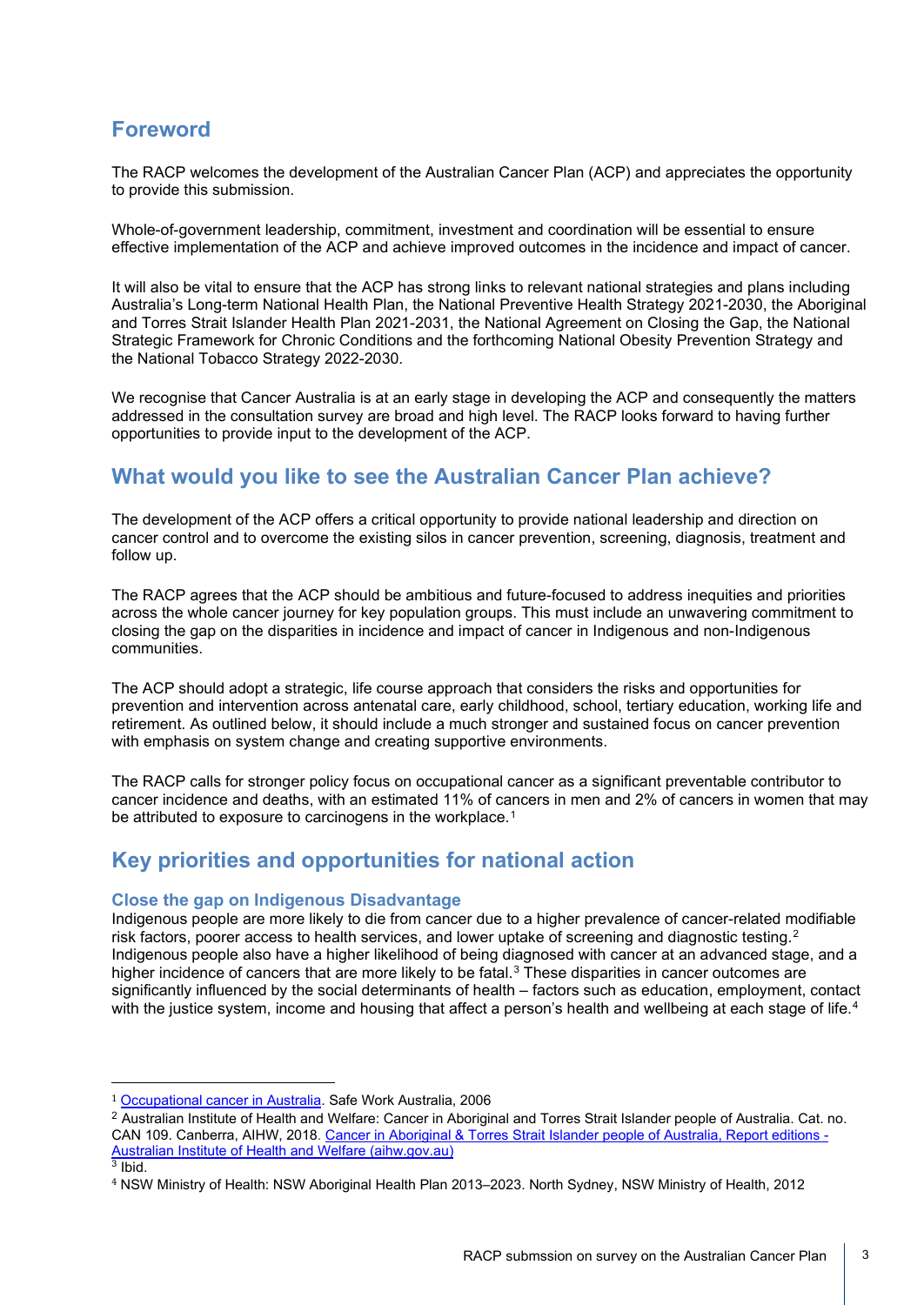## **Foreword**

The RACP welcomes the development of the Australian Cancer Plan (ACP) and appreciates the opportunity to provide this submission.

Whole-of-government leadership, commitment, investment and coordination will be essential to ensure effective implementation of the ACP and achieve improved outcomes in the incidence and impact of cancer.

It will also be vital to ensure that the ACP has strong links to relevant national strategies and plans including Australia's Long-term National Health Plan, the National Preventive Health Strategy 2021-2030, the Aboriginal and Torres Strait Islander Health Plan 2021-2031, the National Agreement on Closing the Gap, the National Strategic Framework for Chronic Conditions and the forthcoming National Obesity Prevention Strategy and the National Tobacco Strategy 2022-2030.

We recognise that Cancer Australia is at an early stage in developing the ACP and consequently the matters addressed in the consultation survey are broad and high level. The RACP looks forward to having further opportunities to provide input to the development of the ACP.

## **What would you like to see the Australian Cancer Plan achieve?**

The development of the ACP offers a critical opportunity to provide national leadership and direction on cancer control and to overcome the existing silos in cancer prevention, screening, diagnosis, treatment and follow up.

The RACP agrees that the ACP should be ambitious and future-focused to address inequities and priorities across the whole cancer journey for key population groups. This must include an unwavering commitment to closing the gap on the disparities in incidence and impact of cancer in Indigenous and non-Indigenous communities.

The ACP should adopt a strategic, life course approach that considers the risks and opportunities for prevention and intervention across antenatal care, early childhood, school, tertiary education, working life and retirement. As outlined below, it should include a much stronger and sustained focus on cancer prevention with emphasis on system change and creating supportive environments.

The RACP calls for stronger policy focus on occupational cancer as a significant preventable contributor to cancer incidence and deaths, with an estimated 11% of cancers in men and 2% of cancers in women that may be attributed to exposure to carcinogens in the workplace.<sup>[1](#page-2-0)</sup>

# **Key priorities and opportunities for national action**

## **Close the gap on Indigenous Disadvantage**

Indigenous people are more likely to die from cancer due to a higher prevalence of cancer-related modifiable risk factors, poorer access to health services, and lower uptake of screening and diagnostic testing.<sup>[2](#page-2-1)</sup> Indigenous people also have a higher likelihood of being diagnosed with cancer at an advanced stage, and a higher incidence of cancers that are more likely to be fatal.[3](#page-2-2) These disparities in cancer outcomes are significantly influenced by the social determinants of health – factors such as education, employment, contact with the justice system, income and housing that affect a person's health and wellbeing at each stage of life.<sup>[4](#page-2-3)</sup>

<span id="page-2-0"></span><sup>1</sup> [Occupational cancer in Australia.](https://www.safeworkaustralia.gov.au/system/files/documents/1702/occupational_cancer_australia_april_2006.pdf) Safe Work Australia, 2006

<span id="page-2-1"></span><sup>2</sup> Australian Institute of Health and Welfare: Cancer in Aboriginal and Torres Strait Islander people of Australia. Cat. no. CAN 109. Canberra, AIHW, 2018[. Cancer in Aboriginal & Torres Strait Islander people of Australia, Report editions -](https://www.aihw.gov.au/reports/cancer/cancer-in-indigenous-australians/report-editions) [Australian Institute of Health and Welfare \(aihw.gov.au\)](https://www.aihw.gov.au/reports/cancer/cancer-in-indigenous-australians/report-editions)

<span id="page-2-2"></span> $3$  Ibid.

<span id="page-2-3"></span><sup>4</sup> NSW Ministry of Health: NSW Aboriginal Health Plan 2013–2023. North Sydney, NSW Ministry of Health, 2012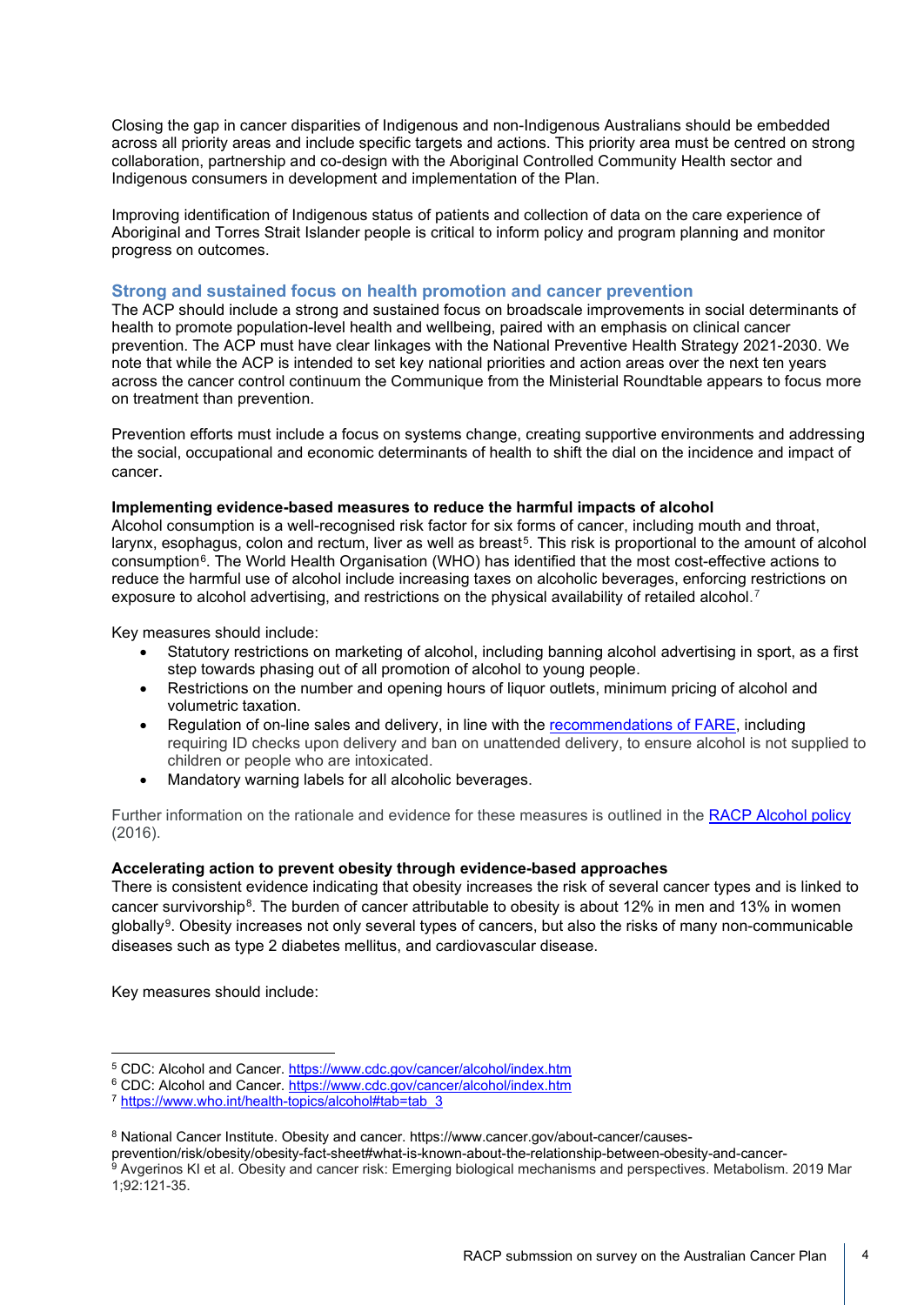Closing the gap in cancer disparities of Indigenous and non-Indigenous Australians should be embedded across all priority areas and include specific targets and actions. This priority area must be centred on strong collaboration, partnership and co-design with the Aboriginal Controlled Community Health sector and Indigenous consumers in development and implementation of the Plan.

Improving identification of Indigenous status of patients and collection of data on the care experience of Aboriginal and Torres Strait Islander people is critical to inform policy and program planning and monitor progress on outcomes.

#### **Strong and sustained focus on health promotion and cancer prevention**

The ACP should include a strong and sustained focus on broadscale improvements in social determinants of health to promote population-level health and wellbeing, paired with an emphasis on clinical cancer prevention. The ACP must have clear linkages with the National Preventive Health Strategy 2021-2030. We note that while the ACP is intended to set key national priorities and action areas over the next ten years across the cancer control continuum the Communique from the Ministerial Roundtable appears to focus more on treatment than prevention.

Prevention efforts must include a focus on systems change, creating supportive environments and addressing the social, occupational and economic determinants of health to shift the dial on the incidence and impact of cancer.

#### **Implementing evidence-based measures to reduce the harmful impacts of alcohol**

Alcohol consumption is a well-recognised risk factor for six forms of cancer, including mouth and throat, larynx, esophagus, colon and rectum, liver as well as breast<sup>5</sup>. This risk is proportional to the amount of alcohol consumption[6.](#page-3-1) The World Health Organisation (WHO) has identified that the most cost-effective actions to reduce the harmful use of alcohol include increasing taxes on alcoholic beverages, enforcing restrictions on exposure to alcohol advertising, and restrictions on the physical availability of retailed alcohol.<sup>[7](#page-3-2)</sup>

Key measures should include:

- Statutory restrictions on marketing of alcohol, including banning alcohol advertising in sport, as a first step towards phasing out of all promotion of alcohol to young people.
- Restrictions on the number and opening hours of liquor outlets, minimum pricing of alcohol and volumetric taxation.
- Regulation of on-line sales and delivery, in line with the [recommendations of FARE,](https://fare.org.au/policy/online-sales-and-delivery/) including requiring ID checks upon delivery and ban on unattended delivery, to ensure alcohol is not supplied to children or people who are intoxicated.
- Mandatory warning labels for all alcoholic beverages.

Further information on the rationale and evidence for these measures is outlined in the RACP [Alcohol policy](https://www.racp.edu.au/docs/default-source/advocacy-library/pa-racp-ranzcp-alcohol-policy.pdf) (2016).

## **Accelerating action to prevent obesity through evidence-based approaches**

There is consistent evidence indicating that obesity increases the risk of several cancer types and is linked to cancer survivorship<sup>[8](#page-3-3)</sup>. The burden of cancer attributable to obesity is about 12% in men and 13% in women globally<sup>[9](#page-3-4)</sup>. Obesity increases not only several types of cancers, but also the risks of many non-communicable diseases such as type 2 diabetes mellitus, and cardiovascular disease.

Key measures should include:

<span id="page-3-0"></span><sup>5</sup> CDC: Alcohol and Cancer.<https://www.cdc.gov/cancer/alcohol/index.htm>

<span id="page-3-1"></span><sup>&</sup>lt;sup>6</sup> CDC: Alcohol and Cancer.<https://www.cdc.gov/cancer/alcohol/index.htm>

<span id="page-3-2"></span><sup>7</sup> [https://www.who.int/health-topics/alcohol#tab=tab\\_3](https://www.who.int/health-topics/alcohol#tab=tab_3)

<span id="page-3-3"></span><sup>8</sup> National Cancer Institute. Obesity and cancer. https://www.cancer.gov/about-cancer/causes-

prevention/risk/obesity/obesity-fact-sheet#what-is-known-about-the-relationship-between-obesity-and-cancer-

<span id="page-3-4"></span><sup>9</sup> Avgerinos KI et al. Obesity and cancer risk: Emerging biological mechanisms and perspectives. Metabolism. 2019 Mar 1;92:121-35.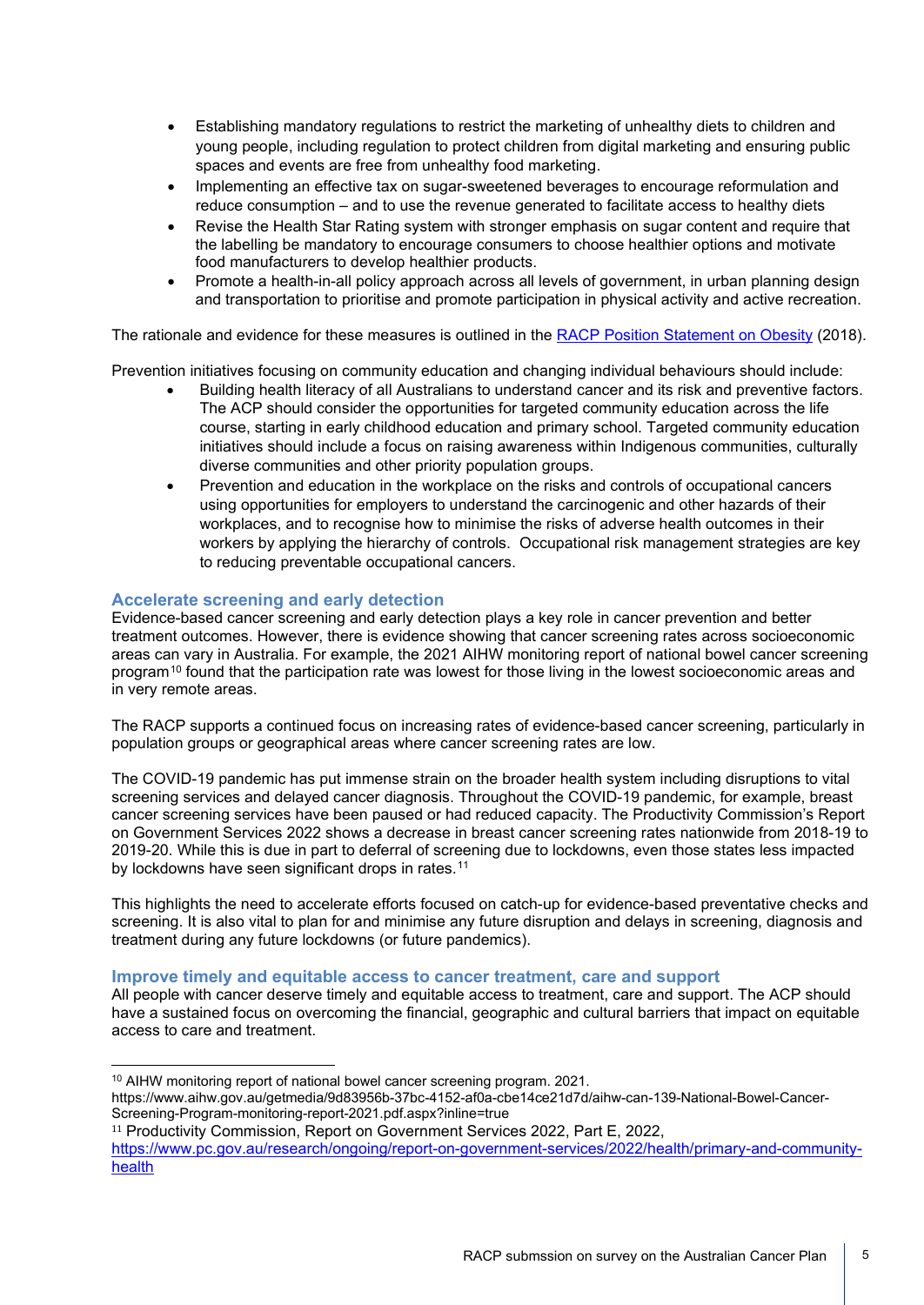- Establishing mandatory regulations to restrict the marketing of unhealthy diets to children and young people, including regulation to protect children from digital marketing and ensuring public spaces and events are free from unhealthy food marketing.
- Implementing an effective tax on sugar-sweetened beverages to encourage reformulation and reduce consumption – and to use the revenue generated to facilitate access to healthy diets
- Revise the Health Star Rating system with stronger emphasis on sugar content and require that the labelling be mandatory to encourage consumers to choose healthier options and motivate food manufacturers to develop healthier products.
- Promote a health-in-all policy approach across all levels of government, in urban planning design and transportation to prioritise and promote participation in physical activity and active recreation.

The rationale and evidence for these measures is outlined in the [RACP Position Statement on Obesity](https://www.racp.edu.au/docs/default-source/advocacy-library/racp-obesity-position-statement.pdf) (2018).

Prevention initiatives focusing on community education and changing individual behaviours should include:

- Building health literacy of all Australians to understand cancer and its risk and preventive factors. The ACP should consider the opportunities for targeted community education across the life course, starting in early childhood education and primary school. Targeted community education initiatives should include a focus on raising awareness within Indigenous communities, culturally diverse communities and other priority population groups.
- Prevention and education in the workplace on the risks and controls of occupational cancers using opportunities for employers to understand the carcinogenic and other hazards of their workplaces, and to recognise how to minimise the risks of adverse health outcomes in their workers by applying the hierarchy of controls. Occupational risk management strategies are key to reducing preventable occupational cancers.

## **Accelerate screening and early detection**

Evidence-based cancer screening and early detection plays a key role in cancer prevention and better treatment outcomes. However, there is evidence showing that cancer screening rates across socioeconomic areas can vary in Australia. For example, the 2021 AIHW monitoring report of national bowel cancer screening program[10](#page-4-0) found that the participation rate was lowest for those living in the lowest socioeconomic areas and in very remote areas.

The RACP supports a continued focus on increasing rates of evidence-based cancer screening, particularly in population groups or geographical areas where cancer screening rates are low.

The COVID-19 pandemic has put immense strain on the broader health system including disruptions to vital screening services and delayed cancer diagnosis. Throughout the COVID-19 pandemic, for example, breast cancer screening services have been paused or had reduced capacity. The Productivity Commission's Report on Government Services 2022 shows a decrease in breast cancer screening rates nationwide from 2018-19 to 2019-20. While this is due in part to deferral of screening due to lockdowns, even those states less impacted by lockdowns have seen significant drops in rates.<sup>[11](#page-4-1)</sup>

This highlights the need to accelerate efforts focused on catch-up for evidence-based preventative checks and screening. It is also vital to plan for and minimise any future disruption and delays in screening, diagnosis and treatment during any future lockdowns (or future pandemics).

#### **Improve timely and equitable access to cancer treatment, care and support**

All people with cancer deserve timely and equitable access to treatment, care and support. The ACP should have a sustained focus on overcoming the financial, geographic and cultural barriers that impact on equitable access to care and treatment.

<sup>&</sup>lt;sup>10</sup> AIHW monitoring report of national bowel cancer screening program. 2021.

<span id="page-4-0"></span>https://www.aihw.gov.au/getmedia/9d83956b-37bc-4152-af0a-cbe14ce21d7d/aihw-can-139-National-Bowel-Cancer-Screening-Program-monitoring-report-2021.pdf.aspx?inline=true

<span id="page-4-1"></span><sup>&</sup>lt;sup>11</sup> Productivity Commission, Report on Government Services 2022, Part E, 2022,

[https://www.pc.gov.au/research/ongoing/report-on-government-services/2022/health/primary-and-community](https://www.pc.gov.au/research/ongoing/report-on-government-services/2022/health/primary-and-community-health)[health](https://www.pc.gov.au/research/ongoing/report-on-government-services/2022/health/primary-and-community-health)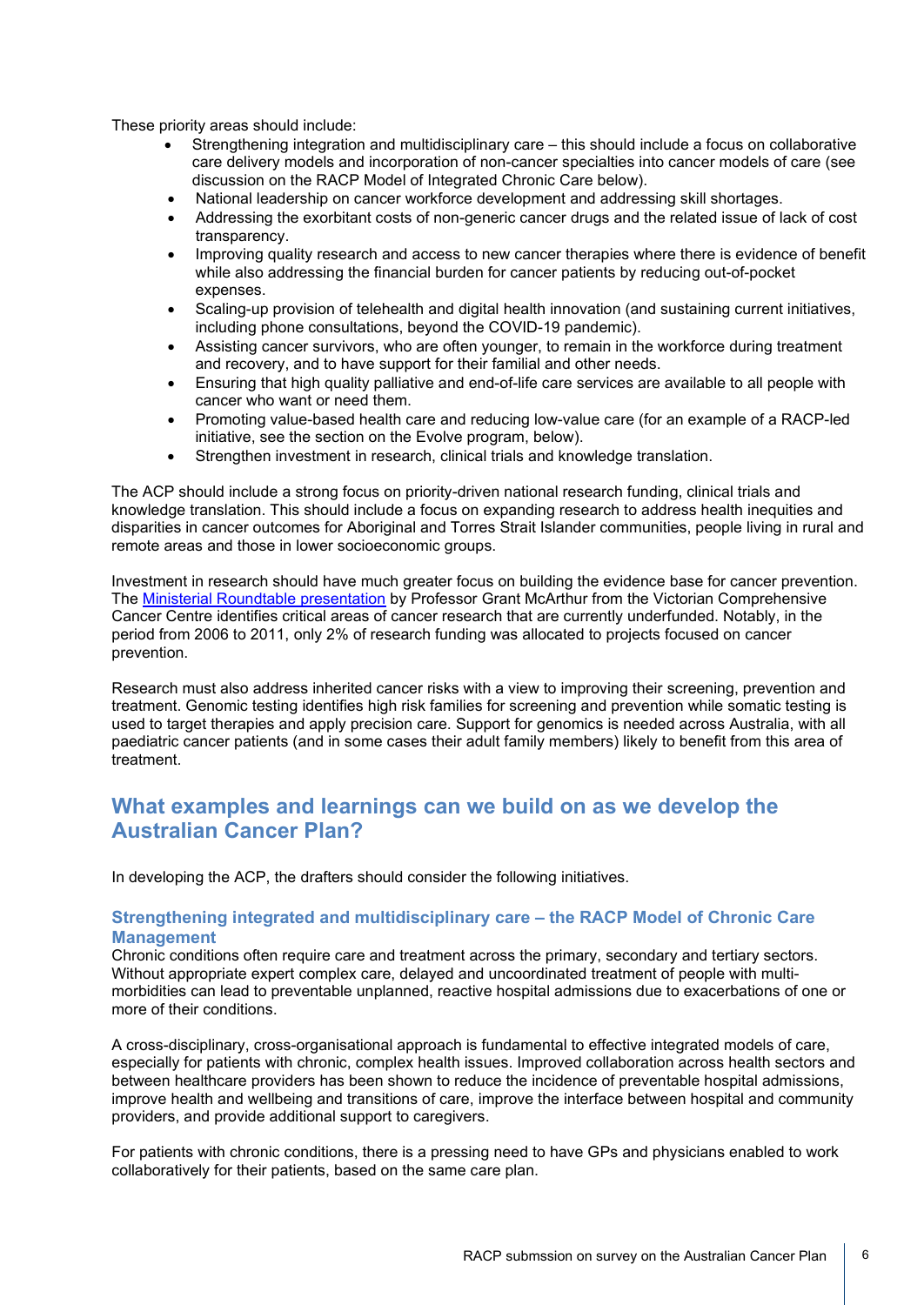These priority areas should include:

- Strengthening integration and multidisciplinary care this should include a focus on collaborative care delivery models and incorporation of non-cancer specialties into cancer models of care (see discussion on the RACP Model of Integrated Chronic Care below).
- National leadership on cancer workforce development and addressing skill shortages.
- Addressing the exorbitant costs of non-generic cancer drugs and the related issue of lack of cost transparency.
- Improving quality research and access to new cancer therapies where there is evidence of benefit while also addressing the financial burden for cancer patients by reducing out-of-pocket expenses.
- Scaling-up provision of telehealth and digital health innovation (and sustaining current initiatives, including phone consultations, beyond the COVID-19 pandemic).
- Assisting cancer survivors, who are often younger, to remain in the workforce during treatment and recovery, and to have support for their familial and other needs.
- Ensuring that high quality palliative and end-of-life care services are available to all people with cancer who want or need them.
- Promoting value-based health care and reducing low-value care (for an example of a RACP-led initiative, see the section on the Evolve program, below).
- Strengthen investment in research, clinical trials and knowledge translation.

The ACP should include a strong focus on priority-driven national research funding, clinical trials and knowledge translation. This should include a focus on expanding research to address health inequities and disparities in cancer outcomes for Aboriginal and Torres Strait Islander communities, people living in rural and remote areas and those in lower socioeconomic groups.

Investment in research should have much greater focus on building the evidence base for cancer prevention. The [Ministerial Roundtable presentation](https://www.canceraustralia.gov.au/sites/default/files/research-and-data-perspective-grant-mcarthur-apr-2021.pdf) by Professor Grant McArthur from the Victorian Comprehensive Cancer Centre identifies critical areas of cancer research that are currently underfunded. Notably, in the period from 2006 to 2011, only 2% of research funding was allocated to projects focused on cancer prevention.

Research must also address inherited cancer risks with a view to improving their screening, prevention and treatment. Genomic testing identifies high risk families for screening and prevention while somatic testing is used to target therapies and apply precision care. Support for genomics is needed across Australia, with all paediatric cancer patients (and in some cases their adult family members) likely to benefit from this area of treatment.

## **What examples and learnings can we build on as we develop the Australian Cancer Plan?**

In developing the ACP, the drafters should consider the following initiatives.

## **Strengthening integrated and multidisciplinary care – the RACP Model of Chronic Care Management**

Chronic conditions often require care and treatment across the primary, secondary and tertiary sectors. Without appropriate expert complex care, delayed and uncoordinated treatment of people with multimorbidities can lead to preventable unplanned, reactive hospital admissions due to exacerbations of one or more of their conditions.

A cross-disciplinary, cross-organisational approach is fundamental to effective integrated models of care, especially for patients with chronic, complex health issues. Improved collaboration across health sectors and between healthcare providers has been shown to reduce the incidence of preventable hospital admissions, improve health and wellbeing and transitions of care, improve the interface between hospital and community providers, and provide additional support to caregivers.

For patients with chronic conditions, there is a pressing need to have GPs and physicians enabled to work collaboratively for their patients, based on the same care plan.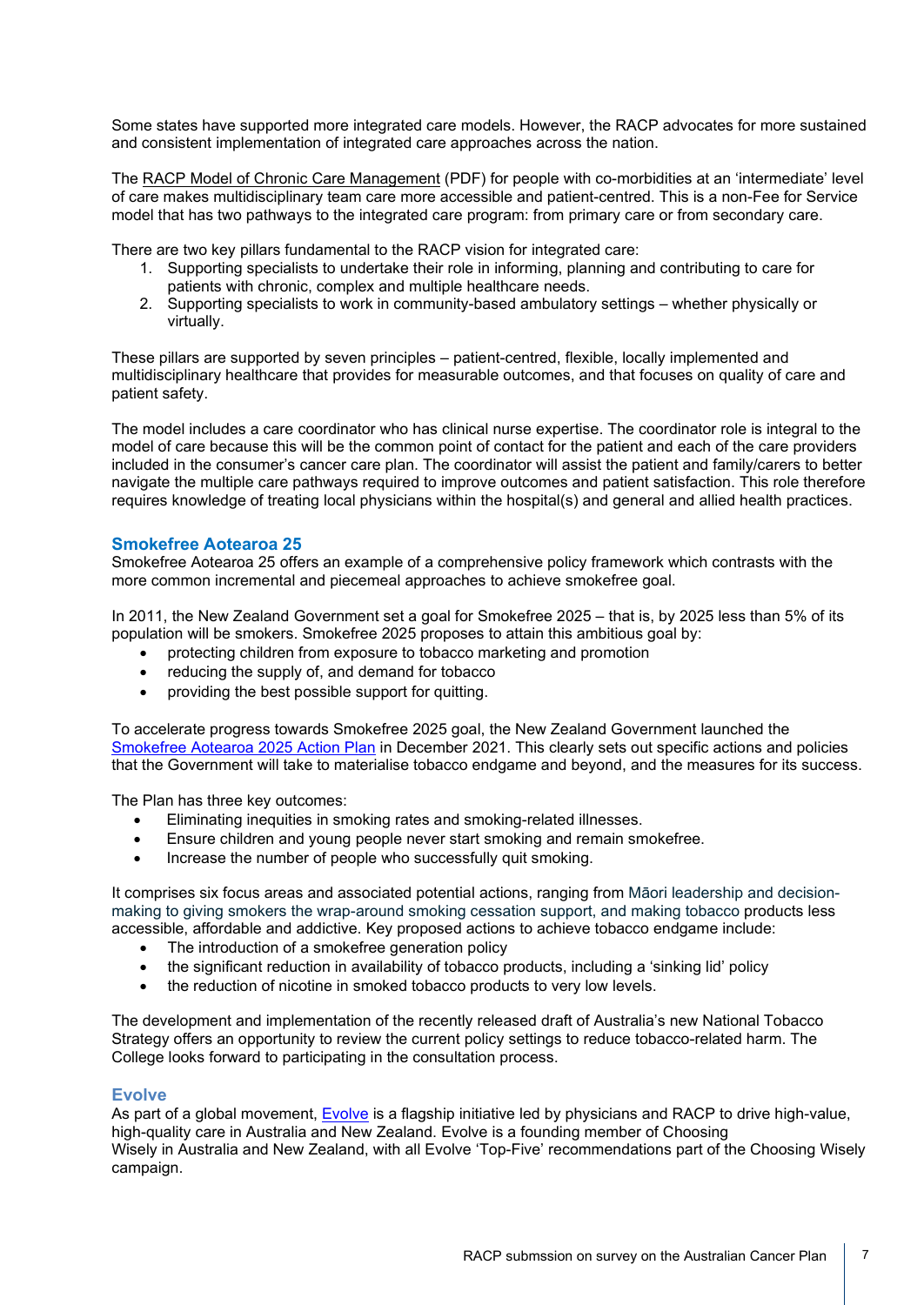Some states have supported more integrated care models. However, the RACP advocates for more sustained and consistent implementation of integrated care approaches across the nation.

The [RACP Model of Chronic Care Management](https://www.racp.edu.au/docs/default-source/advocacy-library/c-final-mccm-document.pdf?sfvrsn=f873e21a_14) (PDF) for people with co-morbidities at an 'intermediate' level of care makes multidisciplinary team care more accessible and patient-centred. This is a non-Fee for Service model that has two pathways to the integrated care program: from primary care or from secondary care.

There are two key pillars fundamental to the RACP vision for integrated care:

- 1. Supporting specialists to undertake their role in informing, planning and contributing to care for patients with chronic, complex and multiple healthcare needs.
- 2. Supporting specialists to work in community-based ambulatory settings whether physically or virtually.

These pillars are supported by seven principles – patient-centred, flexible, locally implemented and multidisciplinary healthcare that provides for measurable outcomes, and that focuses on quality of care and patient safety.

The model includes a care coordinator who has clinical nurse expertise. The coordinator role is integral to the model of care because this will be the common point of contact for the patient and each of the care providers included in the consumer's cancer care plan. The coordinator will assist the patient and family/carers to better navigate the multiple care pathways required to improve outcomes and patient satisfaction. This role therefore requires knowledge of treating local physicians within the hospital(s) and general and allied health practices.

## **Smokefree Aotearoa 25**

Smokefree Aotearoa 25 offers an example of a comprehensive policy framework which contrasts with the more common incremental and piecemeal approaches to achieve smokefree goal.

In 2011, the New Zealand Government set a goal for Smokefree 2025 – that is, by 2025 less than 5% of its population will be smokers. Smokefree 2025 proposes to attain this ambitious goal by:

- protecting children from exposure to tobacco marketing and promotion
- reducing the supply of, and demand for tobacco
- providing the best possible support for quitting.

To accelerate progress towards Smokefree 2025 goal, the New Zealand Government launched the [Smokefree Aotearoa 2025 Action Plan](https://www.health.govt.nz/our-work/preventative-health-wellness/tobacco-control/smokefree-aotearoa-2025-action-plan) in December 2021. This clearly sets out specific actions and policies that the Government will take to materialise tobacco endgame and beyond, and the measures for its success.

The Plan has three key outcomes:

- Eliminating inequities in smoking rates and smoking-related illnesses.
- Ensure children and young people never start smoking and remain smokefree.
- Increase the number of people who successfully quit smoking.

It comprises six focus areas and associated potential actions, ranging from Māori leadership and decisionmaking to giving smokers the wrap-around smoking cessation support, and making tobacco products less accessible, affordable and addictive. Key proposed actions to achieve tobacco endgame include:

- The introduction of a smokefree generation policy
- the significant reduction in availability of tobacco products, including a 'sinking lid' policy
- the reduction of nicotine in smoked tobacco products to very low levels.

The development and implementation of the recently released draft of Australia's new National Tobacco Strategy offers an opportunity to review the current policy settings to reduce tobacco-related harm. The College looks forward to participating in the consultation process.

## **Evolve**

As part of a global movement, [Evolve](https://evolve.edu.au/about) is a flagship initiative led by physicians and RACP to drive high-value, high-quality care in Australia and New Zealand. Evolve is a founding member of Choosing Wisely in [Australia](http://www.choosingwisely.org.au/home) and [New Zealand,](https://choosingwisely.org.nz/) with all [Evolve 'Top-Five' recommendations](https://evolve.edu.au/published-lists) part of the Choosing Wisely campaign.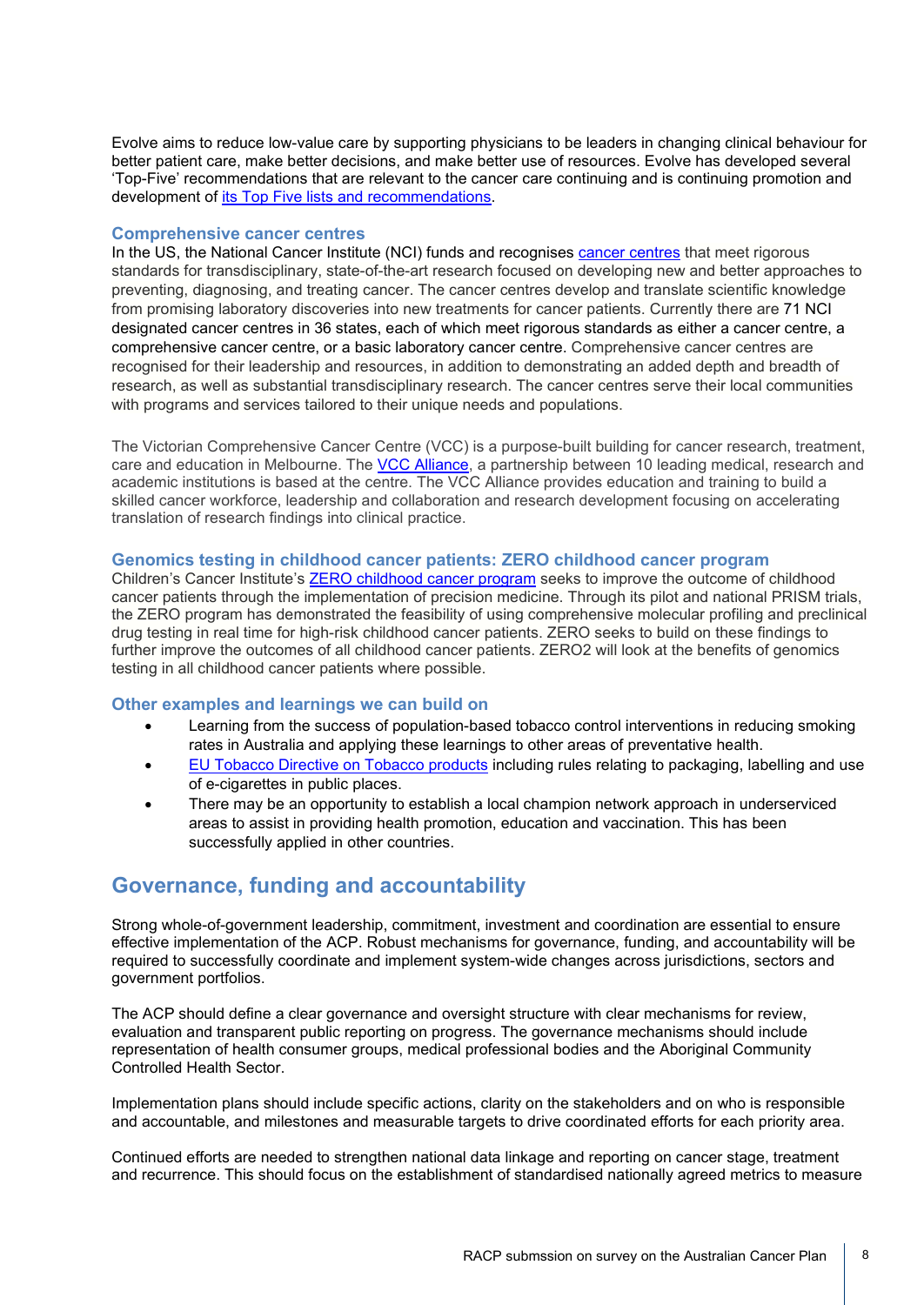Evolve aims to reduce low-value care by supporting physicians to be leaders in changing clinical behaviour for better patient care, make better decisions, and make better use of resources. Evolve has developed several 'Top-Five' recommendations that are relevant to the cancer care continuing and is continuing promotion and development of [its Top Five lists and recommendations.](https://evolve.edu.au/recommendations)

#### **Comprehensive cancer centres**

In the US, the National Cancer Institute (NCI) funds and recognises [cancer centres](https://www.cancer.gov/research/infrastructure/cancer-centers) that meet rigorous standards for transdisciplinary, state-of-the-art research focused on developing new and better approaches to preventing, diagnosing, and treating cancer. The cancer centres develop and translate scientific knowledge from promising laboratory discoveries into new treatments for cancer patients. Currently there are 71 NCI designated cancer centres in 36 states, each of which meet rigorous standards as either a cancer centre, a comprehensive cancer centre, or a basic laboratory cancer centre. Comprehensive cancer centres are recognised for their leadership and resources, in addition to demonstrating an added depth and breadth of research, as well as substantial transdisciplinary research. The cancer centres serve their local communities with programs and services tailored to their unique needs and populations.

The Victorian Comprehensive Cancer Centre (VCC) is a purpose-built building for cancer research, treatment, care and education in Melbourne. The VCC [Alliance,](https://vcccalliance.org.au/what-we-do/) a partnership between 10 leading medical, research and academic institutions is based at the centre. The VCC Alliance provides education and training to build a skilled cancer workforce, leadership and collaboration and research development focusing on accelerating translation of research findings into clinical practice.

#### **Genomics testing in childhood cancer patients: ZERO childhood cancer program**

Children's Cancer Institute's [ZERO childhood cancer program](https://www.zerochildhoodcancer.org.au/) seeks to improve the outcome of childhood cancer patients through the implementation of precision medicine. Through its pilot and national PRISM trials, the ZERO program has demonstrated the feasibility of using comprehensive molecular profiling and preclinical drug testing in real time for high-risk childhood cancer patients. ZERO seeks to build on these findings to further improve the outcomes of all childhood cancer patients. ZERO2 will look at the benefits of genomics testing in all childhood cancer patients where possible.

#### **Other examples and learnings we can build on**

- Learning from the success of population-based tobacco control interventions in reducing smoking rates in Australia and applying these learnings to other areas of preventative health.
- [EU Tobacco Directive on Tobacco products](https://ec.europa.eu/health/tobacco_en) including rules relating to packaging, labelling and use of e-cigarettes in public places.
- There may be an opportunity to establish a local champion network approach in underserviced areas to assist in providing health promotion, education and vaccination. This has been successfully applied in other countries.

## **Governance, funding and accountability**

Strong whole-of-government leadership, commitment, investment and coordination are essential to ensure effective implementation of the ACP. Robust mechanisms for governance, funding, and accountability will be required to successfully coordinate and implement system-wide changes across jurisdictions, sectors and government portfolios.

The ACP should define a clear governance and oversight structure with clear mechanisms for review, evaluation and transparent public reporting on progress. The governance mechanisms should include representation of health consumer groups, medical professional bodies and the Aboriginal Community Controlled Health Sector.

Implementation plans should include specific actions, clarity on the stakeholders and on who is responsible and accountable, and milestones and measurable targets to drive coordinated efforts for each priority area.

Continued efforts are needed to strengthen national data linkage and reporting on cancer stage, treatment and recurrence. This should focus on the establishment of standardised nationally agreed metrics to measure